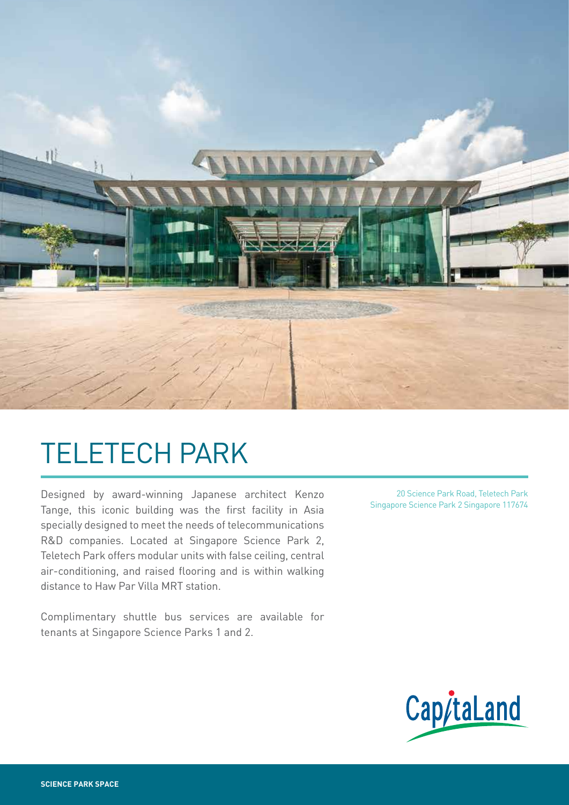

# TELETECH PARK

Designed by award-winning Japanese architect Kenzo Tange, this iconic building was the first facility in Asia specially designed to meet the needs of telecommunications R&D companies. Located at Singapore Science Park 2, Teletech Park offers modular units with false ceiling, central air-conditioning, and raised flooring and is within walking distance to Haw Par Villa MRT station.

Complimentary shuttle bus services are available for tenants at Singapore Science Parks 1 and 2.

20 Science Park Road, Teletech Park Singapore Science Park 2 Singapore 117674